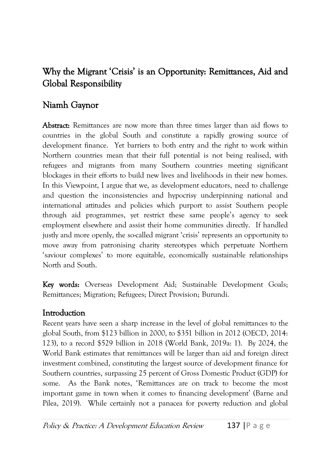# Why the Migrant 'Crisis' is an Opportunity: Remittances, Aid and Global Responsibility

## Niamh Gaynor

Abstract: Remittances are now more than three times larger than aid flows to countries in the global South and constitute a rapidly growing source of development finance. Yet barriers to both entry and the right to work within Northern countries mean that their full potential is not being realised, with refugees and migrants from many Southern countries meeting significant blockages in their efforts to build new lives and livelihoods in their new homes. In this Viewpoint, I argue that we, as development educators, need to challenge and question the inconsistencies and hypocrisy underpinning national and international attitudes and policies which purport to assist Southern people through aid programmes, yet restrict these same people's agency to seek employment elsewhere and assist their home communities directly. If handled justly and more openly, the so-called migrant 'crisis' represents an opportunity to move away from patronising charity stereotypes which perpetuate Northern 'saviour complexes' to more equitable, economically sustainable relationships North and South.

Key words: Overseas Development Aid; Sustainable Development Goals; Remittances; Migration; Refugees; Direct Provision; Burundi.

### **Introduction**

Recent years have seen a sharp increase in the level of global remittances to the global South, from \$123 billion in 2000, to \$351 billion in 2012 (OECD, 2014: 123), to a record \$529 billion in 2018 (World Bank, 2019a: 1). By 2024, the World Bank estimates that remittances will be larger than aid and foreign direct investment combined, constituting the largest source of development finance for Southern countries, surpassing 25 percent of Gross Domestic Product (GDP) for some. As the Bank notes, 'Remittances are on track to become the most important game in town when it comes to financing development' (Barne and Pilea, 2019). While certainly not a panacea for poverty reduction and global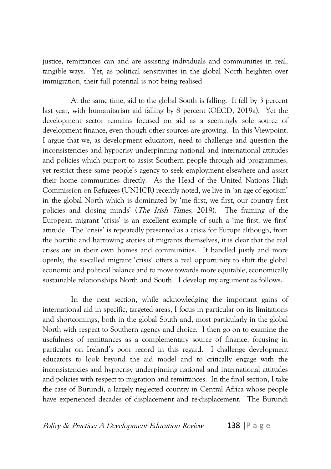justice, remittances can and are assisting individuals and communities in real, tangible ways. Yet, as political sensitivities in the global North heighten over immigration, their full potential is not being realised.

At the same time, aid to the global South is falling. It fell by 3 percent last year, with humanitarian aid falling by 8 percent (OECD, 2019a). Yet the development sector remains focused on aid as a seemingly sole source of development finance, even though other sources are growing. In this Viewpoint, I argue that we, as development educators, need to challenge and question the inconsistencies and hypocrisy underpinning national and international attitudes and policies which purport to assist Southern people through aid programmes, yet restrict these same people's agency to seek employment elsewhere and assist their home communities directly. As the Head of the United Nations High Commission on Refugees (UNHCR) recently noted, we live in 'an age of egotism' in the global North which is dominated by 'me first, we first, our country first policies and closing minds' (The Irish Times, 2019). The framing of the European migrant 'crisis' is an excellent example of such a 'me first, we first' attitude. The 'crisis' is repeatedly presented as a crisis for Europe although, from the horrific and harrowing stories of migrants themselves, it is clear that the real crises are in their own homes and communities. If handled justly and more openly, the so-called migrant 'crisis' offers a real opportunity to shift the global economic and political balance and to move towards more equitable, economically sustainable relationships North and South. I develop my argument as follows.

In the next section, while acknowledging the important gains of international aid in specific, targeted areas, I focus in particular on its limitations and shortcomings, both in the global South and, most particularly in the global North with respect to Southern agency and choice. I then go on to examine the usefulness of remittances as a complementary source of finance, focusing in particular on Ireland's poor record in this regard. I challenge development educators to look beyond the aid model and to critically engage with the inconsistencies and hypocrisy underpinning national and international attitudes and policies with respect to migration and remittances. In the final section, I take the case of Burundi, a largely neglected country in Central Africa whose people have experienced decades of displacement and re-displacement. The Burundi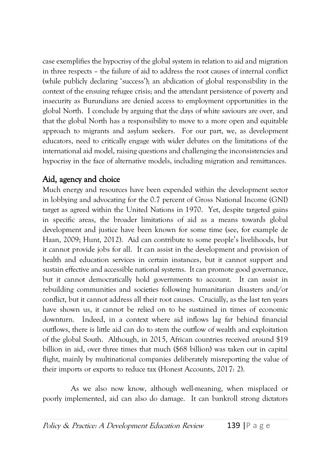case exemplifies the hypocrisy of the global system in relation to aid and migration in three respects – the failure of aid to address the root causes of internal conflict (while publicly declaring 'success'); an abdication of global responsibility in the context of the ensuing refugee crisis; and the attendant persistence of poverty and insecurity as Burundians are denied access to employment opportunities in the global North. I conclude by arguing that the days of white saviours are over, and that the global North has a responsibility to move to a more open and equitable approach to migrants and asylum seekers. For our part, we, as development educators, need to critically engage with wider debates on the limitations of the international aid model, raising questions and challenging the inconsistencies and hypocrisy in the face of alternative models, including migration and remittances.

# Aid, agency and choice

Much energy and resources have been expended within the development sector in lobbying and advocating for the 0.7 percent of Gross National Income (GNI) target as agreed within the United Nations in 1970. Yet, despite targeted gains in specific areas, the broader limitations of aid as a means towards global development and justice have been known for some time (see, for example de Haan, 2009; Hunt, 2012). Aid can contribute to some people's livelihoods, but it cannot provide jobs for all. It can assist in the development and provision of health and education services in certain instances, but it cannot support and sustain effective and accessible national systems. It can promote good governance, but it cannot democratically hold governments to account. It can assist in rebuilding communities and societies following humanitarian disasters and/or conflict, but it cannot address all their root causes. Crucially, as the last ten years have shown us, it cannot be relied on to be sustained in times of economic downturn. Indeed, in a context where aid inflows lag far behind financial outflows, there is little aid can do to stem the outflow of wealth and exploitation of the global South. Although, in 2015, African countries received around \$19 billion in aid, over three times that much (\$68 billion) was taken out in capital flight, mainly by multinational companies deliberately misreporting the value of their imports or exports to reduce tax (Honest Accounts, 2017: 2).

As we also now know, although well-meaning, when misplaced or poorly implemented, aid can also do damage. It can bankroll strong dictators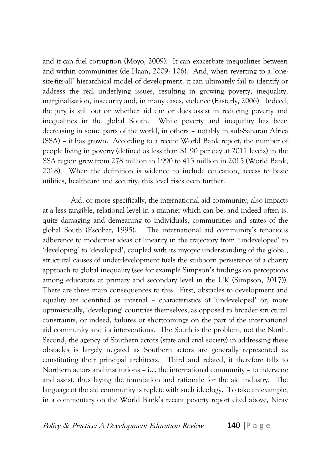and it can fuel corruption (Moyo, 2009). It can exacerbate inequalities between and within communities (de Haan, 2009: 106). And, when reverting to a 'onesize-fits-all' hierarchical model of development, it can ultimately fail to identify or address the real underlying issues, resulting in growing poverty, inequality, marginalisation, insecurity and, in many cases, violence (Easterly, 2006). Indeed, the jury is still out on whether aid can or does assist in reducing poverty and inequalities in the global South. While poverty and inequality has been decreasing in some parts of the world, in others – notably in sub-Saharan Africa (SSA) – it has grown. According to a recent World Bank report, the number of people living in poverty (defined as less than \$1.90 per day at 2011 levels) in the SSA region grew from 278 million in 1990 to 413 million in 2015 (World Bank, 2018). When the definition is widened to include education, access to basic utilities, healthcare and security, this level rises even further.

Aid, or more specifically, the international aid community, also impacts at a less tangible, relational level in a manner which can be, and indeed often is, quite damaging and demeaning to individuals, communities and states of the global South (Escobar, 1995). The international aid community's tenacious adherence to modernist ideas of linearity in the trajectory from 'undeveloped' to 'developing' to 'developed', coupled with its myopic understanding of the global, structural causes of underdevelopment fuels the stubborn persistence of a charity approach to global inequality (see for example Simpson's findings on perceptions among educators at primary and secondary level in the UK (Simpson, 2017)). There are three main consequences to this. First, obstacles to development and equality are identified as internal – characteristics of 'undeveloped' or, more optimistically, 'developing' countries themselves, as opposed to broader structural constraints, or indeed, failures or shortcomings on the part of the international aid community and its interventions. The South is the problem, not the North. Second, the agency of Southern actors (state and civil society) in addressing these obstacles is largely negated as Southern actors are generally represented as constituting their principal architects. Third and related, it therefore falls to Northern actors and institutions – i.e. the international community – to intervene and assist, thus laying the foundation and rationale for the aid industry. The language of the aid community is replete with such ideology. To take an example, in a commentary on the World Bank's recent poverty report cited above, Nirav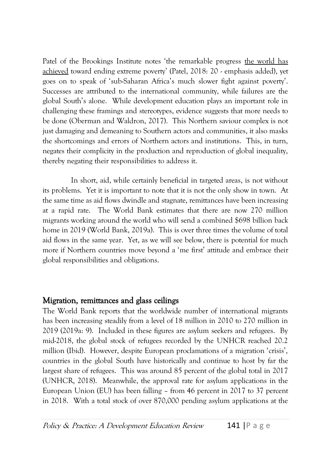Patel of the Brookings Institute notes 'the remarkable progress the world has achieved toward ending extreme poverty' (Patel, 2018: 20 - emphasis added), yet goes on to speak of 'sub-Saharan Africa's much slower fight against poverty'. Successes are attributed to the international community, while failures are the global South's alone. While development education plays an important role in challenging these framings and stereotypes, evidence suggests that more needs to be done (Oberman and Waldron, 2017). This Northern saviour complex is not just damaging and demeaning to Southern actors and communities, it also masks the shortcomings and errors of Northern actors and institutions. This, in turn, negates their complicity in the production and reproduction of global inequality, thereby negating their responsibilities to address it.

In short, aid, while certainly beneficial in targeted areas, is not without its problems. Yet it is important to note that it is not the only show in town. At the same time as aid flows dwindle and stagnate, remittances have been increasing at a rapid rate. The World Bank estimates that there are now 270 million migrants working around the world who will send a combined \$698 billion back home in 2019 (World Bank, 2019a). This is over three times the volume of total aid flows in the same year. Yet, as we will see below, there is potential for much more if Northern countries move beyond a 'me first' attitude and embrace their global responsibilities and obligations.

### Migration, remittances and glass ceilings

The World Bank reports that the worldwide number of international migrants has been increasing steadily from a level of 18 million in 2010 to 270 million in 2019 (2019a: 9). Included in these figures are asylum seekers and refugees. By mid-2018, the global stock of refugees recorded by the UNHCR reached 20.2 million (Ibid). However, despite European proclamations of a migration 'crisis', countries in the global South have historically and continue to host by far the largest share of refugees. This was around 85 percent of the global total in 2017 (UNHCR, 2018). Meanwhile, the approval rate for asylum applications in the European Union (EU) has been falling – from 46 percent in 2017 to 37 percent in 2018. With a total stock of over 870,000 pending asylum applications at the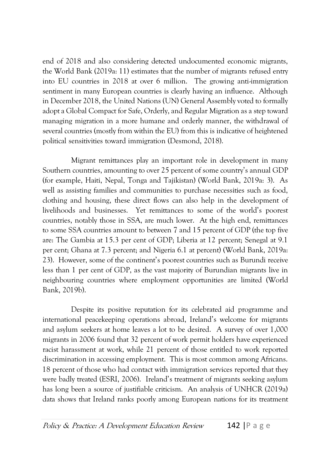end of 2018 and also considering detected undocumented economic migrants, the World Bank (2019a: 11) estimates that the number of migrants refused entry into EU countries in 2018 at over 6 million. The growing anti-immigration sentiment in many European countries is clearly having an influence. Although in December 2018, the United Nations (UN) General Assembly voted to formally adopt a Global Compact for Safe, Orderly, and Regular Migration as a step toward managing migration in a more humane and orderly manner, the withdrawal of several countries (mostly from within the EU) from this is indicative of heightened political sensitivities toward immigration (Desmond, 2018).

Migrant remittances play an important role in development in many Southern countries, amounting to over 25 percent of some country's annual GDP (for example, Haiti, Nepal, Tonga and Tajikistan) (World Bank, 2019a: 3). As well as assisting families and communities to purchase necessities such as food, clothing and housing, these direct flows can also help in the development of livelihoods and businesses. Yet remittances to some of the world's poorest countries, notably those in SSA, are much lower. At the high end, remittances to some SSA countries amount to between 7 and 15 percent of GDP (the top five are: The Gambia at 15.3 per cent of GDP; Liberia at 12 percent; Senegal at 9.1 per cent; Ghana at 7.3 percent; and Nigeria 6.1 at percent) (World Bank, 2019a: 23). However, some of the continent's poorest countries such as Burundi receive less than 1 per cent of GDP, as the vast majority of Burundian migrants live in neighbouring countries where employment opportunities are limited (World Bank, 2019b).

Despite its positive reputation for its celebrated aid programme and international peacekeeping operations abroad, Ireland's welcome for migrants and asylum seekers at home leaves a lot to be desired. A survey of over 1,000 migrants in 2006 found that 32 percent of work permit holders have experienced racist harassment at work, while 21 percent of those entitled to work reported discrimination in accessing employment. This is most common among Africans. 18 percent of those who had contact with immigration services reported that they were badly treated (ESRI, 2006). Ireland's treatment of migrants seeking asylum has long been a source of justifiable criticism. An analysis of UNHCR (2019a) data shows that Ireland ranks poorly among European nations for its treatment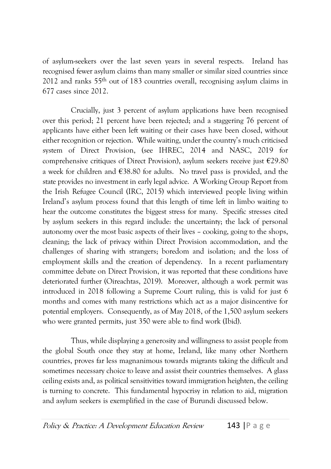of asylum-seekers over the last seven years in several respects. Ireland has recognised fewer asylum claims than many smaller or similar sized countries since 2012 and ranks 55th out of 183 countries overall, recognising asylum claims in 677 cases since 2012.

Crucially, just 3 percent of asylum applications have been recognised over this period; 21 percent have been rejected; and a staggering 76 percent of applicants have either been left waiting or their cases have been closed, without either recognition or rejection. While waiting, under the country's much criticised system of Direct Provision, (see IHREC, 2014 and NASC, 2019 for comprehensive critiques of Direct Provision), asylum seekers receive just  $E29.80$ a week for children and €38.80 for adults. No travel pass is provided, and the state provides no investment in early legal advice. A Working Group Report from the Irish Refugee Council (IRC, 2015) which interviewed people living within Ireland's asylum process found that this length of time left in limbo waiting to hear the outcome constitutes the biggest stress for many. Specific stresses cited by asylum seekers in this regard include: the uncertainty; the lack of personal autonomy over the most basic aspects of their lives – cooking, going to the shops, cleaning; the lack of privacy within Direct Provision accommodation, and the challenges of sharing with strangers; boredom and isolation; and the loss of employment skills and the creation of dependency. In a recent parliamentary committee debate on Direct Provision, it was reported that these conditions have deteriorated further (Oireachtas, 2019). Moreover, although a work permit was introduced in 2018 following a Supreme Court ruling, this is valid for just 6 months and comes with many restrictions which act as a major disincentive for potential employers. Consequently, as of May 2018, of the 1,500 asylum seekers who were granted permits, just 350 were able to find work (Ibid).

Thus, while displaying a generosity and willingness to assist people from the global South once they stay at home, Ireland, like many other Northern countries, proves far less magnanimous towards migrants taking the difficult and sometimes necessary choice to leave and assist their countries themselves. A glass ceiling exists and, as political sensitivities toward immigration heighten, the ceiling is turning to concrete. This fundamental hypocrisy in relation to aid, migration and asylum seekers is exemplified in the case of Burundi discussed below.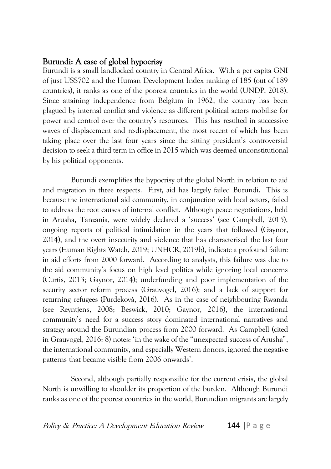### Burundi: A case of global hypocrisy

Burundi is a small landlocked country in Central Africa. With a per capita GNI of just US\$702 and the Human Development Index ranking of 185 (out of 189 countries), it ranks as one of the poorest countries in the world (UNDP, 2018). Since attaining independence from Belgium in 1962, the country has been plagued by internal conflict and violence as different political actors mobilise for power and control over the country's resources. This has resulted in successive waves of displacement and re-displacement, the most recent of which has been taking place over the last four years since the sitting president's controversial decision to seek a third term in office in 2015 which was deemed unconstitutional by his political opponents.

Burundi exemplifies the hypocrisy of the global North in relation to aid and migration in three respects. First, aid has largely failed Burundi. This is because the international aid community, in conjunction with local actors, failed to address the root causes of internal conflict. Although peace negotiations, held in Arusha, Tanzania, were widely declared a 'success' (see Campbell, 2015), ongoing reports of political intimidation in the years that followed (Gaynor, 2014), and the overt insecurity and violence that has characterised the last four years (Human Rights Watch, 2019; UNHCR, 2019b), indicate a profound failure in aid efforts from 2000 forward. According to analysts, this failure was due to the aid community's focus on high level politics while ignoring local concerns (Curtis, 2013; Gaynor, 2014); underfunding and poor implementation of the security sector reform process (Grauvogel, 2016); and a lack of support for returning refugees (Purdekovà, 2016). As in the case of neighbouring Rwanda (see Reyntjens, 2008; Beswick, 2010; Gaynor, 2016), the international community's need for a success story dominated international narratives and strategy around the Burundian process from 2000 forward. As Campbell (cited in Grauvogel, 2016: 8) notes: 'in the wake of the "unexpected success of Arusha", the international community, and especially Western donors, ignored the negative patterns that became visible from 2006 onwards'.

Second, although partially responsible for the current crisis, the global North is unwilling to shoulder its proportion of the burden. Although Burundi ranks as one of the poorest countries in the world, Burundian migrants are largely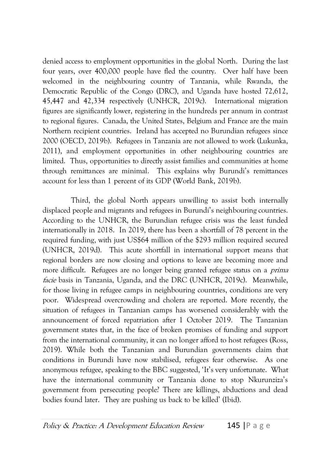denied access to employment opportunities in the global North. During the last four years, over 400,000 people have fled the country. Over half have been welcomed in the neighbouring country of Tanzania, while Rwanda, the Democratic Republic of the Congo (DRC), and Uganda have hosted 72,612, 45,447 and 42,334 respectively (UNHCR, 2019c). International migration figures are significantly lower, registering in the hundreds per annum in contrast to regional figures. Canada, the United States, Belgium and France are the main Northern recipient countries. Ireland has accepted no Burundian refugees since 2000 (OECD, 2019b). Refugees in Tanzania are not allowed to work (Lukunka, 2011), and employment opportunities in other neighbouring countries are limited. Thus, opportunities to directly assist families and communities at home through remittances are minimal. This explains why Burundi's remittances account for less than 1 percent of its GDP (World Bank, 2019b).

Third, the global North appears unwilling to assist both internally displaced people and migrants and refugees in Burundi's neighbouring countries. According to the UNHCR, the Burundian refugee crisis was the least funded internationally in 2018. In 2019, there has been a shortfall of 78 percent in the required funding, with just US\$64 million of the \$293 million required secured (UNHCR, 2019d). This acute shortfall in international support means that regional borders are now closing and options to leave are becoming more and more difficult. Refugees are no longer being granted refugee status on a *prima* facie basis in Tanzania, Uganda, and the DRC (UNHCR, 2019c). Meanwhile, for those living in refugee camps in neighbouring countries, conditions are very poor. Widespread overcrowding and cholera are reported. More recently, the situation of refugees in Tanzanian camps has worsened considerably with the announcement of forced repatriation after 1 October 2019. The Tanzanian government states that, in the face of broken promises of funding and support from the international community, it can no longer afford to host refugees (Ross, 2019). While both the Tanzanian and Burundian governments claim that conditions in Burundi have now stabilised, refugees fear otherwise. As one anonymous refugee, speaking to the BBC suggested, 'It's very unfortunate. What have the international community or Tanzania done to stop Nkurunziza's government from persecuting people? There are killings, abductions and dead bodies found later. They are pushing us back to be killed' (Ibid).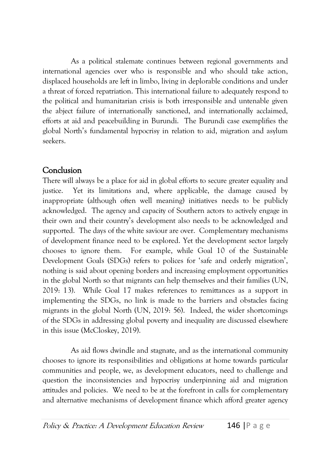As a political stalemate continues between regional governments and international agencies over who is responsible and who should take action, displaced households are left in limbo, living in deplorable conditions and under a threat of forced repatriation. This international failure to adequately respond to the political and humanitarian crisis is both irresponsible and untenable given the abject failure of internationally sanctioned, and internationally acclaimed, efforts at aid and peacebuilding in Burundi. The Burundi case exemplifies the global North's fundamental hypocrisy in relation to aid, migration and asylum seekers.

### **Conclusion**

There will always be a place for aid in global efforts to secure greater equality and justice. Yet its limitations and, where applicable, the damage caused by inappropriate (although often well meaning) initiatives needs to be publicly acknowledged. The agency and capacity of Southern actors to actively engage in their own and their country's development also needs to be acknowledged and supported. The days of the white saviour are over. Complementary mechanisms of development finance need to be explored. Yet the development sector largely chooses to ignore them. For example, while Goal 10 of the Sustainable Development Goals (SDGs) refers to polices for 'safe and orderly migration', nothing is said about opening borders and increasing employment opportunities in the global North so that migrants can help themselves and their families (UN, 2019: 13). While Goal 17 makes references to remittances as a support in implementing the SDGs, no link is made to the barriers and obstacles facing migrants in the global North (UN, 2019: 56). Indeed, the wider shortcomings of the SDGs in addressing global poverty and inequality are discussed elsewhere in this issue (McCloskey, 2019).

As aid flows dwindle and stagnate, and as the international community chooses to ignore its responsibilities and obligations at home towards particular communities and people, we, as development educators, need to challenge and question the inconsistencies and hypocrisy underpinning aid and migration attitudes and policies. We need to be at the forefront in calls for complementary and alternative mechanisms of development finance which afford greater agency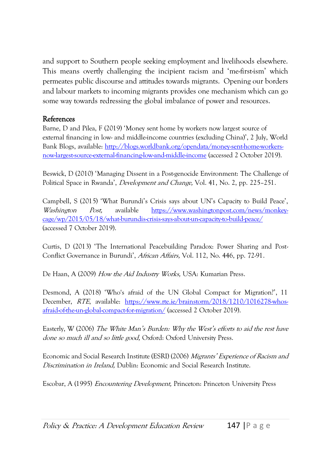and support to Southern people seeking employment and livelihoods elsewhere. This means overtly challenging the incipient racism and 'me-first-ism' which permeates public discourse and attitudes towards migrants. Opening our borders and labour markets to incoming migrants provides one mechanism which can go some way towards redressing the global imbalance of power and resources.

#### References

Barne, D and Pilea, F (2019) 'Money sent home by workers now largest source of external financing in low- and middle-income countries (excluding China)', 2 July, World Bank Blogs, available: [http://blogs.worldbank.org/opendata/money-sent-home-workers](http://blogs.worldbank.org/opendata/money-sent-home-workers-now-largest-source-external-financing-low-and-middle-income)[now-largest-source-external-financing-low-and-middle-income](http://blogs.worldbank.org/opendata/money-sent-home-workers-now-largest-source-external-financing-low-and-middle-income) (accessed 2 October 2019).

Beswick, D (2010) 'Managing Dissent in a Post-genocide Environment: The Challenge of Political Space in Rwanda', Development and Change, Vol. 41, No. 2, pp. 225–251.

Campbell, S (2015) 'What Burundi's Crisis says about UN's Capacity to Build Peace', Washington Post, available [https://www.washingtonpost.com/news/monkey](https://www.washingtonpost.com/news/monkey-cage/wp/2015/05/18/what-burundis-crisis-says-about-un-capacity-to-build-peace/)[cage/wp/2015/05/18/what-burundis-crisis-says-about-un-capacity-to-build-peace/](https://www.washingtonpost.com/news/monkey-cage/wp/2015/05/18/what-burundis-crisis-says-about-un-capacity-to-build-peace/) (accessed 7 October 2019).

Curtis, D (2013) 'The International Peacebuilding Paradox: Power Sharing and Post-Conflict Governance in Burundi', African Affairs, Vol. 112, No. 446, pp. 72-91.

De Haan, A (2009) How the Aid Industry Works, USA: Kumarian Press.

Desmond, A (2018) 'Who's afraid of the UN Global Compact for Migration?', 11 December, RTE, available: [https://www.rte.ie/brainstorm/2018/1210/1016278-whos](https://www.rte.ie/brainstorm/2018/1210/1016278-whos-afraid-of-the-un-global-compact-for-migration/)[afraid-of-the-un-global-compact-for-migration/](https://www.rte.ie/brainstorm/2018/1210/1016278-whos-afraid-of-the-un-global-compact-for-migration/) (accessed 2 October 2019).

Easterly, W (2006) The White Man's Burden: Why the West's efforts to aid the rest have done so much ill and so little good, Oxford: Oxford University Press.

Economic and Social Research Institute (ESRI) (2006) *Migrants' Experience of Racism and* Discrimination in Ireland, Dublin: Economic and Social Research Institute.

Escobar, A (1995) Encountering Development, Princeton: Princeton University Press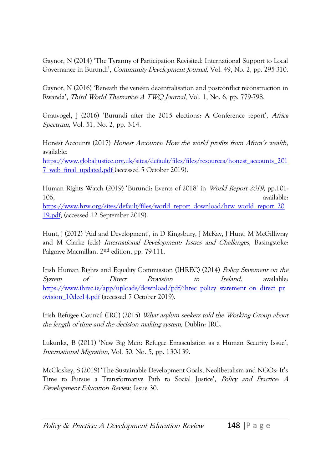Gaynor, N (2014) 'The Tyranny of Participation Revisited: International Support to Local Governance in Burundi', *Community Development Journal*, Vol. 49, No. 2, pp. 295-310.

Gaynor, N (2016) 'Beneath the veneer: decentralisation and postconflict reconstruction in Rwanda', Third World Thematics: A TWQ Journal, Vol. 1, No. 6, pp. 779-798.

Grauvogel, J (2016) 'Burundi after the 2015 elections: A Conference report', Africa Spectrum, Vol. 51, No. 2, pp. 3-14.

Honest Accounts (2017) Honest Accounts: How the world profits from Africa's wealth, available:

[https://www.globaljustice.org.uk/sites/default/files/files/resources/honest\\_accounts\\_201](https://www.globaljustice.org.uk/sites/default/files/files/resources/honest_accounts_2017_web_final_updated.pdf) [7\\_web\\_final\\_updated.pdf](https://www.globaljustice.org.uk/sites/default/files/files/resources/honest_accounts_2017_web_final_updated.pdf) (accessed 5 October 2019).

Human Rights Watch (2019) 'Burundi: Events of 2018' in World Report 2019, pp.101- 106, available: [https://www.hrw.org/sites/default/files/world\\_report\\_download/hrw\\_world\\_report\\_20](https://www.hrw.org/sites/default/files/world_report_download/hrw_world_report_2019.pdf) [19.pdf,](https://www.hrw.org/sites/default/files/world_report_download/hrw_world_report_2019.pdf) (accessed 12 September 2019).

Hunt, J (2012) 'Aid and Development', in D Kingsbury, J McKay, J Hunt, M McGillivray and M Clarke (eds) International Development: Issues and Challenges, Basingstoke: Palgrave Macmillan, 2nd edition, pp, 79-111.

Irish Human Rights and Equality Commission (IHREC) (2014) Policy Statement on the System of Direct Provision in Ireland, available: [https://www.ihrec.ie/app/uploads/download/pdf/ihrec\\_policy\\_statement\\_on\\_direct\\_pr](https://www.ihrec.ie/app/uploads/download/pdf/ihrec_policy_statement_on_direct_provision_10dec14.pdf) [ovision\\_10dec14.pdf](https://www.ihrec.ie/app/uploads/download/pdf/ihrec_policy_statement_on_direct_provision_10dec14.pdf) (accessed 7 October 2019).

Irish Refugee Council (IRC) (2015) What asylum seekers told the Working Group about the length of time and the decision making system, Dublin: IRC.

Lukunka, B (2011) 'New Big Men: Refugee Emasculation as a Human Security Issue', International Migration, Vol. 50, No. 5, pp. 130-139.

McCloskey, S (2019) 'The Sustainable Development Goals, Neoliberalism and NGOs: It's Time to Pursue a Transformative Path to Social Justice', Policy and Practice: A Development Education Review, Issue 30.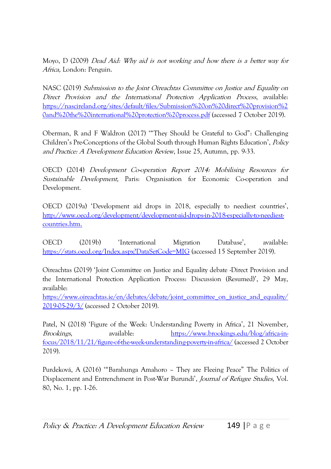Moyo, D (2009) Dead Aid: Why aid is not working and how there is a better way for Africa, London: Penguin.

NASC (2019) Submission to the Joint Oireachtas Committee on Justice and Equality on Direct Provision and the International Protection Application Process, available: [https://nascireland.org/sites/default/files/Submission%20on%20direct%20provision%2](https://nascireland.org/sites/default/files/Submission%20on%20direct%20provision%20and%20the%20international%20protection%20process.pdf) [0and%20the%20international%20protection%20process.pdf](https://nascireland.org/sites/default/files/Submission%20on%20direct%20provision%20and%20the%20international%20protection%20process.pdf) (accessed 7 October 2019).

Oberman, R and F Waldron (2017) '"They Should be Grateful to God": Challenging Children's Pre-Conceptions of the Global South through Human Rights Education', Policy and Practice: A Development Education Review, Issue 25, Autumn, pp. 9-33.

OECD (2014) Development Co-operation Report 2014: Mobilising Resources for Sustainable Development, Paris: Organisation for Economic Co-operation and Development.

OECD (2019a) 'Development aid drops in 2018, especially to neediest countries', [http://www.oecd.org/development/development-aid-drops-in-2018-especially-to-neediest](http://www.oecd.org/development/development-aid-drops-in-2018-especially-to-neediest-countries.htm)[countries.htm.](http://www.oecd.org/development/development-aid-drops-in-2018-especially-to-neediest-countries.htm)

OECD (2019b) 'International Migration Database', available: <https://stats.oecd.org/Index.aspx?DataSetCode=MIG> (accessed 15 September 2019).

Oireachtas (2019) 'Joint Committee on Justice and Equality debate -Direct Provision and the International Protection Application Process: Discussion (Resumed)', 29 May, available:

[https://www.oireachtas.ie/en/debates/debate/joint\\_committee\\_on\\_justice\\_and\\_equality/](https://www.oireachtas.ie/en/debates/debate/joint_committee_on_justice_and_equality/2019-05-29/3/) [2019-05-29/3/](https://www.oireachtas.ie/en/debates/debate/joint_committee_on_justice_and_equality/2019-05-29/3/) (accessed 2 October 2019).

Patel, N (2018) 'Figure of the Week: Understanding Poverty in Africa', 21 November, Brookings, available: [https://www.brookings.edu/blog/africa-in](https://www.brookings.edu/blog/africa-in-focus/2018/11/21/figure-of-the-week-understanding-poverty-in-africa/)[focus/2018/11/21/figure-of-the-week-understanding-poverty-in-africa/](https://www.brookings.edu/blog/africa-in-focus/2018/11/21/figure-of-the-week-understanding-poverty-in-africa/) (accessed 2 October 2019).

Purdeková, A (2016) '"Barahunga Amahoro – They are Fleeing Peace" The Politics of Displacement and Entrenchment in Post-War Burundi', Journal of Refugee Studies, Vol. 80, No. 1, pp. 1-26.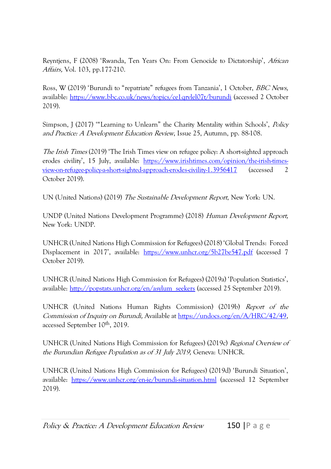Reyntjens, F (2008) 'Rwanda, Ten Years On: From Genocide to Dictatorship', African Affairs, Vol. 103, pp.177-210.

Ross, W (2019) 'Burundi to "repatriate" refugees from Tanzania', 1 October, BBC News, available:<https://www.bbc.co.uk/news/topics/ce1qrvlel07t/burundi> (accessed 2 October 2019).

Simpson, J (2017) '"Learning to Unlearn" the Charity Mentality within Schools', Policy and Practice: A Development Education Review, Issue 25, Autumn, pp. 88-108.

The Irish Times (2019) 'The Irish Times view on refugee policy: A short-sighted approach erodes civility', 15 July, available: [https://www.irishtimes.com/opinion/the-irish-times](https://www.irishtimes.com/opinion/the-irish-times-view-on-refugee-policy-a-short-sighted-approach-erodes-civility-1.3956417)[view-on-refugee-policy-a-short-sighted-approach-erodes-civility-1.3956417](https://www.irishtimes.com/opinion/the-irish-times-view-on-refugee-policy-a-short-sighted-approach-erodes-civility-1.3956417) (accessed 2 October 2019).

UN (United Nations) (2019) The Sustainable Development Report, New York: UN.

UNDP (United Nations Development Programme) (2018) Human Development Report, New York: UNDP.

UNHCR (United Nations High Commission for Refugees) (2018) 'Global Trends: Forced Displacement in 2017', available: <https://www.unhcr.org/5b27be547.pdf> (accessed 7 October 2019).

UNHCR (United Nations High Commission for Refugees) (2019a) 'Population Statistics', available: [http://popstats.unhcr.org/en/asylum\\_seekers](http://popstats.unhcr.org/en/asylum_seekers) (accessed 25 September 2019).

UNHCR (United Nations Human Rights Commission) (2019b) Report of the Commission of Inquiry on Burundi, Available a[t https://undocs.org/en/A/HRC/42/49,](https://undocs.org/en/A/HRC/42/49)  accessed September 10<sup>th</sup>, 2019.

UNHCR (United Nations High Commission for Refugees) (2019c) Regional Overview of the Burundian Refugee Population as of 31 July 2019, Geneva: UNHCR.

UNHCR (United Nations High Commission for Refugees) (2019d) 'Burundi Situation', available:<https://www.unhcr.org/en-ie/burundi-situation.html> (accessed 12 September 2019).